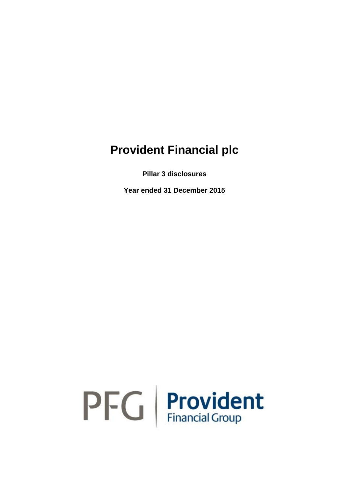# **Provident Financial plc**

**Pillar 3 disclosures**

**Year ended 31 December 2015**

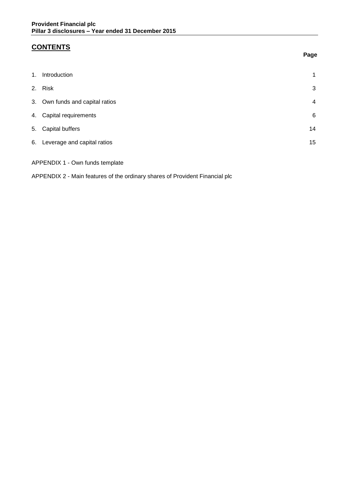## **CONTENTS**

| 1. | Introduction                    | 1  |
|----|---------------------------------|----|
|    | 2. Risk                         | 3  |
|    | 3. Own funds and capital ratios | 4  |
|    | 4. Capital requirements         | 6  |
|    | 5. Capital buffers              | 14 |
|    | 6. Leverage and capital ratios  | 15 |
|    |                                 |    |

APPENDIX 1 - Own funds template

APPENDIX 2 - Main features of the ordinary shares of Provident Financial plc

#### **Page**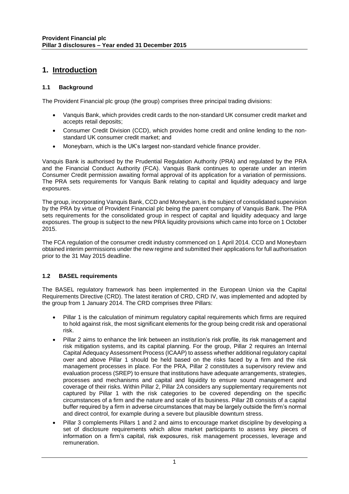### **1. Introduction**

#### **1.1 Background**

The Provident Financial plc group (the group) comprises three principal trading divisions:

- Vanquis Bank, which provides credit cards to the non-standard UK consumer credit market and accepts retail deposits;
- Consumer Credit Division (CCD), which provides home credit and online lending to the nonstandard UK consumer credit market; and
- Moneybarn, which is the UK's largest non-standard vehicle finance provider.

Vanquis Bank is authorised by the Prudential Regulation Authority (PRA) and regulated by the PRA and the Financial Conduct Authority (FCA). Vanquis Bank continues to operate under an interim Consumer Credit permission awaiting formal approval of its application for a variation of permissions. The PRA sets requirements for Vanquis Bank relating to capital and liquidity adequacy and large exposures.

The group, incorporating Vanquis Bank, CCD and Moneybarn, is the subject of consolidated supervision by the PRA by virtue of Provident Financial plc being the parent company of Vanquis Bank. The PRA sets requirements for the consolidated group in respect of capital and liquidity adequacy and large exposures. The group is subject to the new PRA liquidity provisions which came into force on 1 October 2015.

The FCA regulation of the consumer credit industry commenced on 1 April 2014. CCD and Moneybarn obtained interim permissions under the new regime and submitted their applications for full authorisation prior to the 31 May 2015 deadline.

#### **1.2 BASEL requirements**

The BASEL regulatory framework has been implemented in the European Union via the Capital Requirements Directive (CRD). The latest iteration of CRD, CRD IV, was implemented and adopted by the group from 1 January 2014. The CRD comprises three Pillars:

- Pillar 1 is the calculation of minimum regulatory capital requirements which firms are required to hold against risk, the most significant elements for the group being credit risk and operational risk.
- Pillar 2 aims to enhance the link between an institution's risk profile, its risk management and risk mitigation systems, and its capital planning. For the group, Pillar 2 requires an Internal Capital Adequacy Assessment Process (ICAAP) to assess whether additional regulatory capital over and above Pillar 1 should be held based on the risks faced by a firm and the risk management processes in place. For the PRA, Pillar 2 constitutes a supervisory review and evaluation process (SREP) to ensure that institutions have adequate arrangements, strategies, processes and mechanisms and capital and liquidity to ensure sound management and coverage of their risks. Within Pillar 2, Pillar 2A considers any supplementary requirements not captured by Pillar 1 with the risk categories to be covered depending on the specific circumstances of a firm and the nature and scale of its business. Pillar 2B consists of a capital buffer required by a firm in adverse circumstances that may be largely outside the firm's normal and direct control, for example during a severe but plausible downturn stress.
- Pillar 3 complements Pillars 1 and 2 and aims to encourage market discipline by developing a set of disclosure requirements which allow market participants to assess key pieces of information on a firm's capital, risk exposures, risk management processes, leverage and remuneration.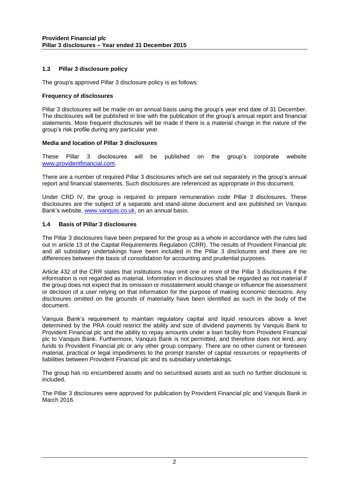#### **1.3 Pillar 3 disclosure policy**

The group's approved Pillar 3 disclosure policy is as follows:

#### **Frequency of disclosures**

Pillar 3 disclosures will be made on an annual basis using the group's year end date of 31 December. The disclosures will be published in line with the publication of the group's annual report and financial statements. More frequent disclosures will be made if there is a material change in the nature of the group's risk profile during any particular year.

#### **Media and location of Pillar 3 disclosures**

These Pillar 3 disclosures will be published on the group's corporate website [www.providentfinancial.com.](http://www.providentfinancial.com/)

There are a number of required Pillar 3 disclosures which are set out separately in the group's annual report and financial statements. Such disclosures are referenced as appropriate in this document.

Under CRD IV, the group is required to prepare remuneration code Pillar 3 disclosures. These disclosures are the subject of a separate and stand-alone document and are published on Vanquis Bank's website, [www.vanquis.co.uk,](http://www.vanquis.co.uk/) on an annual basis.

#### **1.4 Basis of Pillar 3 disclosures**

The Pillar 3 disclosures have been prepared for the group as a whole in accordance with the rules laid out in article 13 of the Capital Requirements Regulation (CRR). The results of Provident Financial plc and all subsidiary undertakings have been included in the Pillar 3 disclosures and there are no differences between the basis of consolidation for accounting and prudential purposes.

Article 432 of the CRR states that institutions may omit one or more of the Pillar 3 disclosures if the information is not regarded as material. Information in disclosures shall be regarded as not material if the group does not expect that its omission or misstatement would change or influence the assessment or decision of a user relying on that information for the purpose of making economic decisions. Any disclosures omitted on the grounds of materiality have been identified as such in the body of the document.

Vanquis Bank's requirement to maintain regulatory capital and liquid resources above a level determined by the PRA could restrict the ability and size of dividend payments by Vanquis Bank to Provident Financial plc and the ability to repay amounts under a loan facility from Provident Financial plc to Vanquis Bank. Furthermore, Vanquis Bank is not permitted, and therefore does not lend, any funds to Provident Financial plc or any other group company. There are no other current or foreseen material, practical or legal impediments to the prompt transfer of capital resources or repayments of liabilities between Provident Financial plc and its subsidiary undertakings.

The group has no encumbered assets and no securitised assets and as such no further disclosure is included.

The Pillar 3 disclosures were approved for publication by Provident Financial plc and Vanquis Bank in March 2016.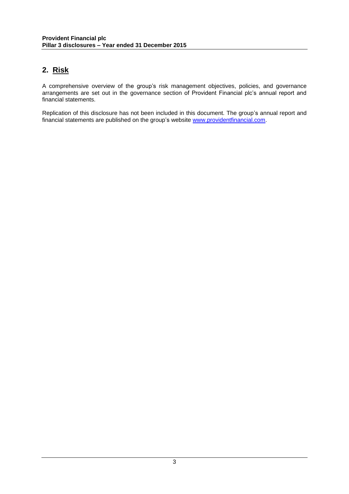### **2. Risk**

A comprehensive overview of the group's risk management objectives, policies, and governance arrangements are set out in the governance section of Provident Financial plc's annual report and financial statements.

Replication of this disclosure has not been included in this document. The group's annual report and financial statements are published on the group's website [www.providentfinancial.com.](http://www.providentfinancial.com/)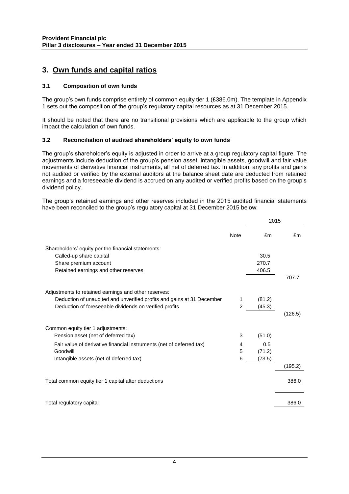### **3. Own funds and capital ratios**

#### **3.1 Composition of own funds**

The group's own funds comprise entirely of common equity tier 1 (£386.0m). The template in Appendix 1 sets out the composition of the group's regulatory capital resources as at 31 December 2015.

It should be noted that there are no transitional provisions which are applicable to the group which impact the calculation of own funds.

#### **3.2 Reconciliation of audited shareholders' equity to own funds**

The group's shareholder's equity is adjusted in order to arrive at a group regulatory capital figure. The adjustments include deduction of the group's pension asset, intangible assets, goodwill and fair value movements of derivative financial instruments, all net of deferred tax. In addition, any profits and gains not audited or verified by the external auditors at the balance sheet date are deducted from retained earnings and a foreseeable dividend is accrued on any audited or verified profits based on the group's dividend policy.

The group's retained earnings and other reserves included in the 2015 audited financial statements have been reconciled to the group's regulatory capital at 31 December 2015 below:

|                                                                        | <b>Note</b> | £m     | £m      |
|------------------------------------------------------------------------|-------------|--------|---------|
| Shareholders' equity per the financial statements:                     |             |        |         |
| Called-up share capital                                                |             | 30.5   |         |
| Share premium account                                                  |             | 270.7  |         |
| Retained earnings and other reserves                                   |             | 406.5  |         |
|                                                                        |             |        | 707.7   |
| Adjustments to retained earnings and other reserves:                   |             |        |         |
| Deduction of unaudited and unverified profits and gains at 31 December | 1           | (81.2) |         |
| Deduction of foreseeable dividends on verified profits                 | 2           | (45.3) |         |
|                                                                        |             |        | (126.5) |
| Common equity tier 1 adjustments:                                      |             |        |         |
| Pension asset (net of deferred tax)                                    | 3           | (51.0) |         |
| Fair value of derivative financial instruments (net of deferred tax)   | 4           | 0.5    |         |
| Goodwill                                                               | 5           | (71.2) |         |
| Intangible assets (net of deferred tax)                                | 6           | (73.5) |         |
|                                                                        |             |        | (195.2) |
| Total common equity tier 1 capital after deductions                    |             |        | 386.0   |
| Total regulatory capital                                               |             |        | 386.0   |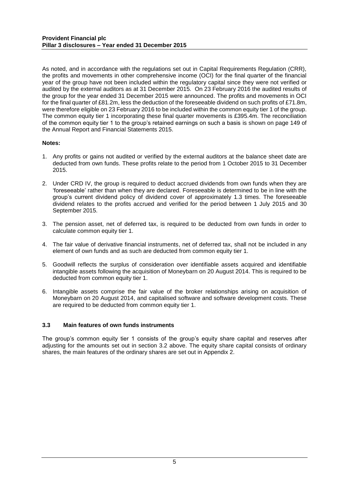As noted, and in accordance with the regulations set out in Capital Requirements Regulation (CRR), the profits and movements in other comprehensive income (OCI) for the final quarter of the financial year of the group have not been included within the regulatory capital since they were not verified or audited by the external auditors as at 31 December 2015. On 23 February 2016 the audited results of the group for the year ended 31 December 2015 were announced. The profits and movements in OCI for the final quarter of £81.2m, less the deduction of the foreseeable dividend on such profits of £71.8m, were therefore eligible on 23 February 2016 to be included within the common equity tier 1 of the group. The common equity tier 1 incorporating these final quarter movements is £395.4m. The reconciliation of the common equity tier 1 to the group's retained earnings on such a basis is shown on page 149 of the Annual Report and Financial Statements 2015.

#### **Notes:**

- 1. Any profits or gains not audited or verified by the external auditors at the balance sheet date are deducted from own funds. These profits relate to the period from 1 October 2015 to 31 December 2015.
- 2. Under CRD IV, the group is required to deduct accrued dividends from own funds when they are 'foreseeable' rather than when they are declared. Foreseeable is determined to be in line with the group's current dividend policy of dividend cover of approximately 1.3 times. The foreseeable dividend relates to the profits accrued and verified for the period between 1 July 2015 and 30 September 2015.
- 3. The pension asset, net of deferred tax, is required to be deducted from own funds in order to calculate common equity tier 1.
- 4. The fair value of derivative financial instruments, net of deferred tax, shall not be included in any element of own funds and as such are deducted from common equity tier 1.
- 5. Goodwill reflects the surplus of consideration over identifiable assets acquired and identifiable intangible assets following the acquisition of Moneybarn on 20 August 2014. This is required to be deducted from common equity tier 1.
- 6. Intangible assets comprise the fair value of the broker relationships arising on acquisition of Moneybarn on 20 August 2014, and capitalised software and software development costs. These are required to be deducted from common equity tier 1.

#### **3.3 Main features of own funds instruments**

The group's common equity tier 1 consists of the group's equity share capital and reserves after adjusting for the amounts set out in section 3.2 above. The equity share capital consists of ordinary shares, the main features of the ordinary shares are set out in Appendix 2.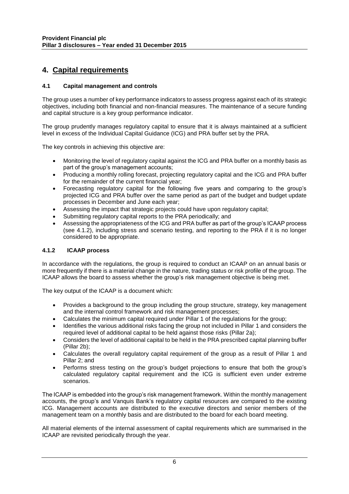### **4. Capital requirements**

#### **4.1 Capital management and controls**

The group uses a number of key performance indicators to assess progress against each of its strategic objectives, including both financial and non-financial measures. The maintenance of a secure funding and capital structure is a key group performance indicator.

The group prudently manages regulatory capital to ensure that it is always maintained at a sufficient level in excess of the Individual Capital Guidance (ICG) and PRA buffer set by the PRA.

The key controls in achieving this objective are:

- Monitoring the level of regulatory capital against the ICG and PRA buffer on a monthly basis as part of the group's management accounts;
- Producing a monthly rolling forecast, projecting regulatory capital and the ICG and PRA buffer for the remainder of the current financial year;
- Forecasting regulatory capital for the following five years and comparing to the group's projected ICG and PRA buffer over the same period as part of the budget and budget update processes in December and June each year;
- Assessing the impact that strategic projects could have upon regulatory capital;
- Submitting regulatory capital reports to the PRA periodically; and
- Assessing the appropriateness of the ICG and PRA buffer as part of the group's ICAAP process (see 4.1.2), including stress and scenario testing, and reporting to the PRA if it is no longer considered to be appropriate.

#### **4.1.2 ICAAP process**

In accordance with the regulations, the group is required to conduct an ICAAP on an annual basis or more frequently if there is a material change in the nature, trading status or risk profile of the group. The ICAAP allows the board to assess whether the group's risk management objective is being met.

The key output of the ICAAP is a document which:

- Provides a background to the group including the group structure, strategy, key management and the internal control framework and risk management processes;
- Calculates the minimum capital required under Pillar 1 of the regulations for the group;
- Identifies the various additional risks facing the group not included in Pillar 1 and considers the required level of additional capital to be held against those risks (Pillar 2a);
- Considers the level of additional capital to be held in the PRA prescribed capital planning buffer (Pillar 2b);
- Calculates the overall regulatory capital requirement of the group as a result of Pillar 1 and Pillar 2; and
- Performs stress testing on the group's budget projections to ensure that both the group's calculated regulatory capital requirement and the ICG is sufficient even under extreme scenarios.

The ICAAP is embedded into the group's risk management framework. Within the monthly management accounts, the group's and Vanquis Bank's regulatory capital resources are compared to the existing ICG. Management accounts are distributed to the executive directors and senior members of the management team on a monthly basis and are distributed to the board for each board meeting.

All material elements of the internal assessment of capital requirements which are summarised in the ICAAP are revisited periodically through the year.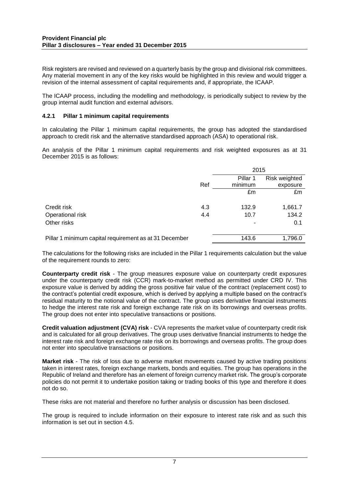Risk registers are revised and reviewed on a quarterly basis by the group and divisional risk committees. Any material movement in any of the key risks would be highlighted in this review and would trigger a revision of the internal assessment of capital requirements and, if appropriate, the ICAAP.

The ICAAP process, including the modelling and methodology, is periodically subject to review by the group internal audit function and external advisors.

#### **4.2.1 Pillar 1 minimum capital requirements**

In calculating the Pillar 1 minimum capital requirements, the group has adopted the standardised approach to credit risk and the alternative standardised approach (ASA) to operational risk.

An analysis of the Pillar 1 minimum capital requirements and risk weighted exposures as at 31 December 2015 is as follows:

|                                                        |     | 2015     |               |  |
|--------------------------------------------------------|-----|----------|---------------|--|
|                                                        |     | Pillar 1 | Risk weighted |  |
|                                                        | Ref | minimum  | exposure      |  |
|                                                        |     | £m       | £m            |  |
| Credit risk                                            | 4.3 | 132.9    | 1,661.7       |  |
| Operational risk                                       | 4.4 | 10.7     | 134.2         |  |
| Other risks                                            |     |          | 0.1           |  |
| Pillar 1 minimum capital requirement as at 31 December |     | 143.6    | 1,796.0       |  |

The calculations for the following risks are included in the Pillar 1 requirements calculation but the value of the requirement rounds to zero:

**Counterparty credit risk** - The group measures exposure value on counterparty credit exposures under the counterparty credit risk (CCR) mark-to-market method as permitted under CRD IV. This exposure value is derived by adding the gross positive fair value of the contract (replacement cost) to the contract's potential credit exposure, which is derived by applying a multiple based on the contract's residual maturity to the notional value of the contract. The group uses derivative financial instruments to hedge the interest rate risk and foreign exchange rate risk on its borrowings and overseas profits. The group does not enter into speculative transactions or positions.

**Credit valuation adjustment (CVA) risk** - CVA represents the market value of counterparty credit risk and is calculated for all group derivatives. The group uses derivative financial instruments to hedge the interest rate risk and foreign exchange rate risk on its borrowings and overseas profits. The group does not enter into speculative transactions or positions.

**Market risk** - The risk of loss due to adverse market movements caused by active trading positions taken in interest rates, foreign exchange markets, bonds and equities. The group has operations in the Republic of Ireland and therefore has an element of foreign currency market risk. The group's corporate policies do not permit it to undertake position taking or trading books of this type and therefore it does not do so.

These risks are not material and therefore no further analysis or discussion has been disclosed.

The group is required to include information on their exposure to interest rate risk and as such this information is set out in section 4.5.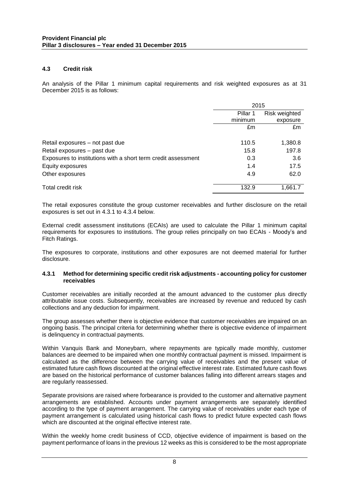#### **4.3 Credit risk**

An analysis of the Pillar 1 minimum capital requirements and risk weighted exposures as at 31 December 2015 is as follows:

|                                                               | 2015     |               |
|---------------------------------------------------------------|----------|---------------|
|                                                               | Pillar 1 | Risk weighted |
|                                                               | minimum  | exposure      |
|                                                               | £m       | £m            |
|                                                               |          |               |
| Retail exposures - not past due                               | 110.5    | 1,380.8       |
| Retail exposures - past due                                   | 15.8     | 197.8         |
| Exposures to institutions with a short term credit assessment | 0.3      | 3.6           |
| Equity exposures                                              | 1.4      | 17.5          |
| Other exposures                                               | 4.9      | 62.0          |
| Total credit risk                                             | 132.9    | 1,661.7       |

The retail exposures constitute the group customer receivables and further disclosure on the retail exposures is set out in 4.3.1 to 4.3.4 below.

External credit assessment institutions (ECAIs) are used to calculate the Pillar 1 minimum capital requirements for exposures to institutions. The group relies principally on two ECAIs - Moody's and Fitch Ratings.

The exposures to corporate, institutions and other exposures are not deemed material for further disclosure.

#### **4.3.1 Method for determining specific credit risk adjustments - accounting policy for customer receivables**

Customer receivables are initially recorded at the amount advanced to the customer plus directly attributable issue costs. Subsequently, receivables are increased by revenue and reduced by cash collections and any deduction for impairment.

The group assesses whether there is objective evidence that customer receivables are impaired on an ongoing basis. The principal criteria for determining whether there is objective evidence of impairment is delinquency in contractual payments.

Within Vanquis Bank and Moneybarn, where repayments are typically made monthly, customer balances are deemed to be impaired when one monthly contractual payment is missed. Impairment is calculated as the difference between the carrying value of receivables and the present value of estimated future cash flows discounted at the original effective interest rate. Estimated future cash flows are based on the historical performance of customer balances falling into different arrears stages and are regularly reassessed.

Separate provisions are raised where forbearance is provided to the customer and alternative payment arrangements are established. Accounts under payment arrangements are separately identified according to the type of payment arrangement. The carrying value of receivables under each type of payment arrangement is calculated using historical cash flows to predict future expected cash flows which are discounted at the original effective interest rate.

Within the weekly home credit business of CCD, objective evidence of impairment is based on the payment performance of loans in the previous 12 weeks as this is considered to be the most appropriate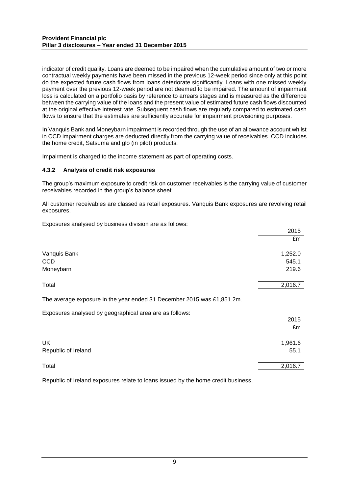indicator of credit quality. Loans are deemed to be impaired when the cumulative amount of two or more contractual weekly payments have been missed in the previous 12-week period since only at this point do the expected future cash flows from loans deteriorate significantly. Loans with one missed weekly payment over the previous 12-week period are not deemed to be impaired. The amount of impairment loss is calculated on a portfolio basis by reference to arrears stages and is measured as the difference between the carrying value of the loans and the present value of estimated future cash flows discounted at the original effective interest rate. Subsequent cash flows are regularly compared to estimated cash flows to ensure that the estimates are sufficiently accurate for impairment provisioning purposes.

In Vanquis Bank and Moneybarn impairment is recorded through the use of an allowance account whilst in CCD impairment charges are deducted directly from the carrying value of receivables. CCD includes the home credit, Satsuma and glo (in pilot) products.

Impairment is charged to the income statement as part of operating costs.

#### **4.3.2 Analysis of credit risk exposures**

The group's maximum exposure to credit risk on customer receivables is the carrying value of customer receivables recorded in the group's balance sheet.

All customer receivables are classed as retail exposures. Vanquis Bank exposures are revolving retail exposures.

 $2015$ 

Exposures analysed by business division are as follows:

|                                                                        | ---     |
|------------------------------------------------------------------------|---------|
|                                                                        | £m      |
| Vanquis Bank                                                           | 1,252.0 |
| <b>CCD</b>                                                             | 545.1   |
| Moneybarn                                                              | 219.6   |
| Total                                                                  | 2,016.7 |
| The average exposure in the year ended 31 December 2015 was £1,851.2m. |         |
| Exposures analysed by geographical area are as follows:                |         |
|                                                                        | 2015    |
|                                                                        | £m      |
| <b>UK</b>                                                              | 1,961.6 |
| Republic of Ireland                                                    | 55.1    |
| Total                                                                  | 2,016.7 |

Republic of Ireland exposures relate to loans issued by the home credit business.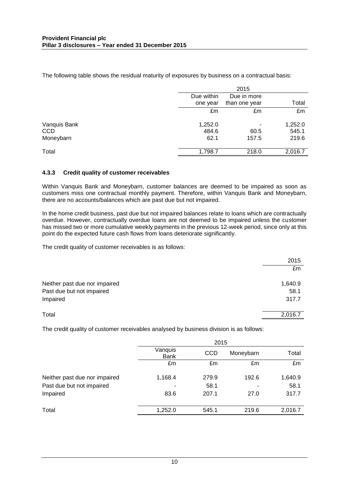The following table shows the residual maturity of exposures by business on a contractual basis:

|              |            | 2015          |         |
|--------------|------------|---------------|---------|
|              | Due within | Due in more   |         |
|              | one year   | than one year | Total   |
|              | £m         | £m            | £m      |
| Vanquis Bank | 1,252.0    |               | 1,252.0 |
| <b>CCD</b>   | 484.6      | 60.5          | 545.1   |
| Moneybarn    | 62.1       | 157.5         | 219.6   |
| Total        | 1,798.7    | 218.0         | 2,016.7 |

#### **4.3.3 Credit quality of customer receivables**

Within Vanquis Bank and Moneybarn, customer balances are deemed to be impaired as soon as customers miss one contractual monthly payment. Therefore, within Vanquis Bank and Moneybarn, there are no accounts/balances which are past due but not impaired.

In the home credit business, past due but not impaired balances relate to loans which are contractually overdue. However, contractually overdue loans are not deemed to be impaired unless the customer has missed two or more cumulative weekly payments in the previous 12-week period, since only at this point do the expected future cash flows from loans deteriorate significantly.

The credit quality of customer receivables is as follows:

|                               | 2015    |
|-------------------------------|---------|
|                               | £m      |
| Neither past due nor impaired | 1,640.9 |
| Past due but not impaired     | 58.1    |
| Impaired                      | 317.7   |
| Total                         | 2,016.7 |

The credit quality of customer receivables analysed by business division is as follows:

|                               | 2015            |            |           |         |
|-------------------------------|-----------------|------------|-----------|---------|
|                               | Vanquis<br>Bank | <b>CCD</b> | Moneybarn | Total   |
|                               | £m              | £m         | £m        | £m      |
| Neither past due nor impaired | 1,168.4         | 279.9      | 192.6     | 1,640.9 |
| Past due but not impaired     |                 | 58.1       |           | 58.1    |
| Impaired                      | 83.6            | 207.1      | 27.0      | 317.7   |
| Total                         | 1,252.0         | 545.1      | 219.6     | 2,016.7 |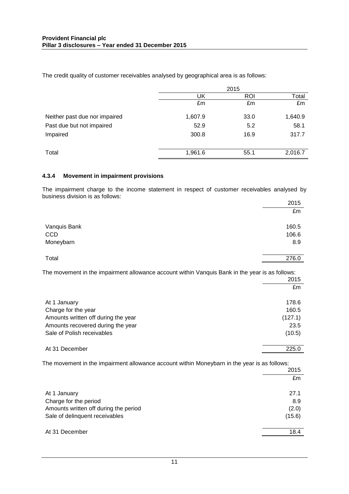The credit quality of customer receivables analysed by geographical area is as follows:

|                               |         | 2015       |         |
|-------------------------------|---------|------------|---------|
|                               | UK      | <b>ROI</b> | Total   |
|                               | £m      | £m         | £m      |
| Neither past due nor impaired | 1,607.9 | 33.0       | 1,640.9 |
| Past due but not impaired     | 52.9    | 5.2        | 58.1    |
| Impaired                      | 300.8   | 16.9       | 317.7   |
| Total                         | 1,961.6 | 55.1       | 2,016.7 |

#### **4.3.4 Movement in impairment provisions**

The impairment charge to the income statement in respect of customer receivables analysed by business division is as follows:

|              | 2015  |
|--------------|-------|
|              | £m    |
|              |       |
| Vanquis Bank | 160.5 |
| CCD          | 106.6 |
| Moneybarn    | 8.9   |
|              |       |
| Total        | 276.0 |
|              |       |

The movement in the impairment allowance account within Vanquis Bank in the year is as follows:

|                                     | 2015    |
|-------------------------------------|---------|
|                                     | £m      |
| At 1 January                        | 178.6   |
| Charge for the year                 | 160.5   |
| Amounts written off during the year | (127.1) |
| Amounts recovered during the year   | 23.5    |
| Sale of Polish receivables          | (10.5)  |
| At 31 December                      | 225.0   |
|                                     |         |

The movement in the impairment allowance account within Moneybarn in the year is as follows:

| 2015                                           |
|------------------------------------------------|
| £m                                             |
|                                                |
| 8.9                                            |
| Amounts written off during the period<br>(2.0) |
| (15.6)                                         |
|                                                |
| 18.4                                           |
| 27.1                                           |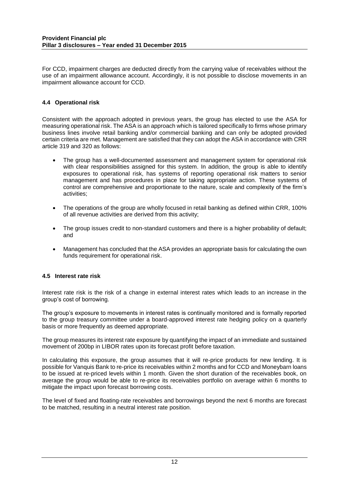For CCD, impairment charges are deducted directly from the carrying value of receivables without the use of an impairment allowance account. Accordingly, it is not possible to disclose movements in an impairment allowance account for CCD.

#### **4.4 Operational risk**

Consistent with the approach adopted in previous years, the group has elected to use the ASA for measuring operational risk. The ASA is an approach which is tailored specifically to firms whose primary business lines involve retail banking and/or commercial banking and can only be adopted provided certain criteria are met. Management are satisfied that they can adopt the ASA in accordance with CRR article 319 and 320 as follows:

- The group has a well-documented assessment and management system for operational risk with clear responsibilities assigned for this system. In addition, the group is able to identify exposures to operational risk, has systems of reporting operational risk matters to senior management and has procedures in place for taking appropriate action. These systems of control are comprehensive and proportionate to the nature, scale and complexity of the firm's activities;
- The operations of the group are wholly focused in retail banking as defined within CRR, 100% of all revenue activities are derived from this activity;
- The group issues credit to non-standard customers and there is a higher probability of default; and
- Management has concluded that the ASA provides an appropriate basis for calculating the own funds requirement for operational risk.

#### **4.5 Interest rate risk**

Interest rate risk is the risk of a change in external interest rates which leads to an increase in the group's cost of borrowing.

The group's exposure to movements in interest rates is continually monitored and is formally reported to the group treasury committee under a board-approved interest rate hedging policy on a quarterly basis or more frequently as deemed appropriate.

The group measures its interest rate exposure by quantifying the impact of an immediate and sustained movement of 200bp in LIBOR rates upon its forecast profit before taxation.

In calculating this exposure, the group assumes that it will re-price products for new lending. It is possible for Vanquis Bank to re-price its receivables within 2 months and for CCD and Moneybarn loans to be issued at re-priced levels within 1 month. Given the short duration of the receivables book, on average the group would be able to re-price its receivables portfolio on average within 6 months to mitigate the impact upon forecast borrowing costs.

The level of fixed and floating-rate receivables and borrowings beyond the next 6 months are forecast to be matched, resulting in a neutral interest rate position.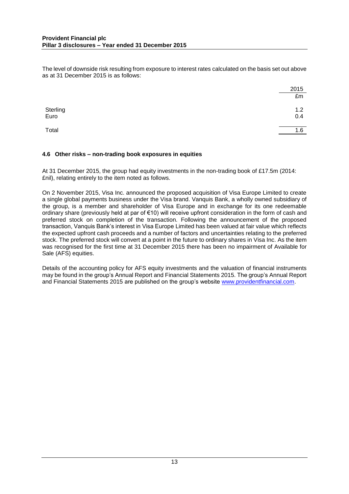The level of downside risk resulting from exposure to interest rates calculated on the basis set out above as at 31 December 2015 is as follows:

|                  | 2015       |
|------------------|------------|
|                  | £m         |
| Sterling<br>Euro | 1.2<br>0.4 |
| Total            | 1.6        |

#### **4.6 Other risks – non-trading book exposures in equities**

At 31 December 2015, the group had equity investments in the non-trading book of £17.5m (2014: £nil), relating entirely to the item noted as follows.

On 2 November 2015, Visa Inc. announced the proposed acquisition of Visa Europe Limited to create a single global payments business under the Visa brand. Vanquis Bank, a wholly owned subsidiary of the group, is a member and shareholder of Visa Europe and in exchange for its one redeemable ordinary share (previously held at par of €10) will receive upfront consideration in the form of cash and preferred stock on completion of the transaction. Following the announcement of the proposed transaction, Vanquis Bank's interest in Visa Europe Limited has been valued at fair value which reflects the expected upfront cash proceeds and a number of factors and uncertainties relating to the preferred stock. The preferred stock will convert at a point in the future to ordinary shares in Visa Inc. As the item was recognised for the first time at 31 December 2015 there has been no impairment of Available for Sale (AFS) equities.

Details of the accounting policy for AFS equity investments and the valuation of financial instruments may be found in the group's Annual Report and Financial Statements 2015. The group's Annual Report and Financial Statements 2015 are published on the group's website [www.providentfinancial.com.](http://www.providentfinancial.com/)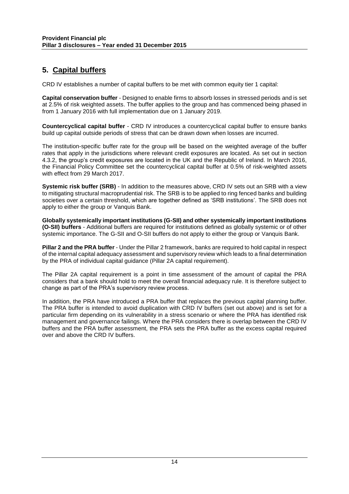### **5. Capital buffers**

CRD IV establishes a number of capital buffers to be met with common equity tier 1 capital:

**Capital conservation buffer** - Designed to enable firms to absorb losses in stressed periods and is set at 2.5% of risk weighted assets. The buffer applies to the group and has commenced being phased in from 1 January 2016 with full implementation due on 1 January 2019.

**Countercyclical capital buffer** - CRD IV introduces a countercyclical capital buffer to ensure banks build up capital outside periods of stress that can be drawn down when losses are incurred.

The institution-specific buffer rate for the group will be based on the weighted average of the buffer rates that apply in the jurisdictions where relevant credit exposures are located. As set out in section 4.3.2, the group's credit exposures are located in the UK and the Republic of Ireland. In March 2016, the Financial Policy Committee set the countercyclical capital buffer at 0.5% of risk-weighted assets with effect from 29 March 2017.

**Systemic risk buffer (SRB)** - In addition to the measures above, CRD IV sets out an SRB with a view to mitigating structural macroprudential risk. The SRB is to be applied to ring fenced banks and building societies over a certain threshold, which are together defined as 'SRB institutions'. The SRB does not apply to either the group or Vanquis Bank.

**Globally systemically important institutions (G-SII) and other systemically important institutions (O-SII) buffers** - Additional buffers are required for institutions defined as globally systemic or of other systemic importance. The G-SII and O-SII buffers do not apply to either the group or Vanquis Bank.

**Pillar 2 and the PRA buffer** - Under the Pillar 2 framework, banks are required to hold capital in respect of the internal capital adequacy assessment and supervisory review which leads to a final determination by the PRA of individual capital guidance (Pillar 2A capital requirement).

The Pillar 2A capital requirement is a point in time assessment of the amount of capital the PRA considers that a bank should hold to meet the overall financial adequacy rule. It is therefore subject to change as part of the PRA's supervisory review process.

In addition, the PRA have introduced a PRA buffer that replaces the previous capital planning buffer. The PRA buffer is intended to avoid duplication with CRD IV buffers (set out above) and is set for a particular firm depending on its vulnerability in a stress scenario or where the PRA has identified risk management and governance failings. Where the PRA considers there is overlap between the CRD IV buffers and the PRA buffer assessment, the PRA sets the PRA buffer as the excess capital required over and above the CRD IV buffers.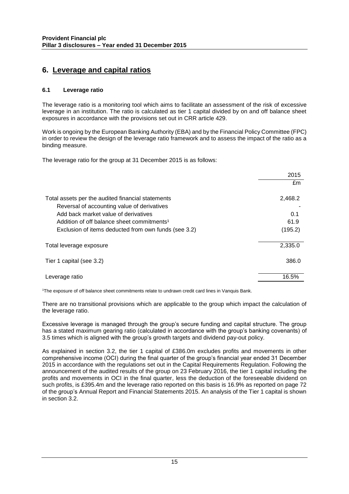### **6. Leverage and capital ratios**

#### **6.1 Leverage ratio**

The leverage ratio is a monitoring tool which aims to facilitate an assessment of the risk of excessive leverage in an institution. The ratio is calculated as tier 1 capital divided by on and off balance sheet exposures in accordance with the provisions set out in CRR article 429.

Work is ongoing by the European Banking Authority (EBA) and by the Financial Policy Committee (FPC) in order to review the design of the leverage ratio framework and to assess the impact of the ratio as a binding measure.

The leverage ratio for the group at 31 December 2015 is as follows:

|                                                        | 2015    |
|--------------------------------------------------------|---------|
|                                                        | £m      |
| Total assets per the audited financial statements      | 2,468.2 |
| Reversal of accounting value of derivatives            |         |
| Add back market value of derivatives                   | 0.1     |
| Addition of off balance sheet commitments <sup>1</sup> | 61.9    |
| Exclusion of items deducted from own funds (see 3.2)   | (195.2) |
| Total leverage exposure                                | 2,335.0 |
| Tier 1 capital (see 3.2)                               | 386.0   |
|                                                        | 16.5%   |
| Leverage ratio                                         |         |

<sup>1</sup>The exposure of off balance sheet commitments relate to undrawn credit card lines in Vanquis Bank.

There are no transitional provisions which are applicable to the group which impact the calculation of the leverage ratio.

Excessive leverage is managed through the group's secure funding and capital structure. The group has a stated maximum gearing ratio (calculated in accordance with the group's banking covenants) of 3.5 times which is aligned with the group's growth targets and dividend pay-out policy.

As explained in section 3.2, the tier 1 capital of £386.0m excludes profits and movements in other comprehensive income (OCI) during the final quarter of the group's financial year ended 31 December 2015 in accordance with the regulations set out in the Capital Requirements Regulation. Following the announcement of the audited results of the group on 23 February 2016, the tier 1 capital including the profits and movements in OCI in the final quarter, less the deduction of the foreseeable dividend on such profits, is £395.4m and the leverage ratio reported on this basis is 16.9% as reported on page 72 of the group's Annual Report and Financial Statements 2015. An analysis of the Tier 1 capital is shown in section 3.2.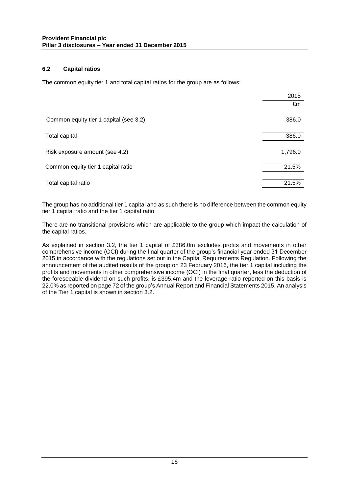#### **6.2 Capital ratios**

The common equity tier 1 and total capital ratios for the group are as follows:

|                                        | 2015    |
|----------------------------------------|---------|
|                                        | £m      |
| Common equity tier 1 capital (see 3.2) | 386.0   |
| Total capital                          | 386.0   |
| Risk exposure amount (see 4.2)         | 1,796.0 |
| Common equity tier 1 capital ratio     | 21.5%   |
| Total capital ratio                    | 21.5%   |

The group has no additional tier 1 capital and as such there is no difference between the common equity tier 1 capital ratio and the tier 1 capital ratio.

There are no transitional provisions which are applicable to the group which impact the calculation of the capital ratios.

As explained in section 3.2, the tier 1 capital of £386.0m excludes profits and movements in other comprehensive income (OCI) during the final quarter of the group's financial year ended 31 December 2015 in accordance with the regulations set out in the Capital Requirements Regulation. Following the announcement of the audited results of the group on 23 February 2016, the tier 1 capital including the profits and movements in other comprehensive income (OCI) in the final quarter, less the deduction of the foreseeable dividend on such profits, is £395.4m and the leverage ratio reported on this basis is 22.0% as reported on page 72 of the group's Annual Report and Financial Statements 2015. An analysis of the Tier 1 capital is shown in section 3.2.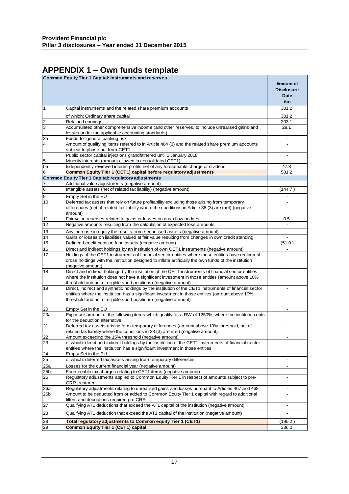# **APPENDIX 1 – Own funds template**

|                         | Common Equity Tier 1 Capital: Instruments and reserves                                                                                         |                                 |
|-------------------------|------------------------------------------------------------------------------------------------------------------------------------------------|---------------------------------|
|                         |                                                                                                                                                | <b>Amount at</b>                |
|                         |                                                                                                                                                | <b>Disclosure</b>               |
|                         |                                                                                                                                                | <b>Date</b>                     |
|                         |                                                                                                                                                | £m                              |
| 1                       | Capital instruments and the related share premium accounts                                                                                     | 301.2                           |
|                         | of which: Ordinary share capital                                                                                                               | 301.2                           |
| $\overline{\mathbf{c}}$ | Retained earnings                                                                                                                              | 203.1                           |
| 3                       | Accumulated other comprehensive income (and other reserves, to include unrealised gains and                                                    | 29.1                            |
|                         | losses under the applicable accounting standards)                                                                                              |                                 |
| За                      | Funds for general banking risk                                                                                                                 |                                 |
| 4                       | Amount of qualifying items referred to in Article 484 (3) and the related share premium accounts                                               |                                 |
|                         | subject to phase out from CET1                                                                                                                 |                                 |
|                         | Public sector capital injections grandfathered until 1 January 2018                                                                            |                                 |
| 5                       | Minority interests (amount allowed in consolidated CET1)                                                                                       | $\overline{\phantom{a}}$        |
| 5a                      | Independently reviewed interim profits net of any foreseeable charge or dividend                                                               | 47.8                            |
| 6                       | Common Equity Tier 1 (CET1) capital before regulatory adjustments                                                                              | 581.2                           |
|                         | Common Equity Tier 1 Capital: regulatory adjustments                                                                                           |                                 |
| 7                       | Additional value adjustments (negative amount)                                                                                                 | (144.7)                         |
| 8                       | Intangible assets (net of related tax liability) (negative amount)                                                                             |                                 |
| 9                       | Empty Set in the EU                                                                                                                            |                                 |
| 10                      | Deferred tax assets that rely on future profitability excluding those arising from temporary                                                   |                                 |
|                         | differences (net of related tax liability where the conditions in Article 38 (3) are met) (negative                                            |                                 |
|                         | amount)                                                                                                                                        |                                 |
| 11<br>12                | Fair value reserves related to gains or losses on cash flow hedges<br>Negative amounts resulting from the calculation of expected loss amounts | 0.5<br>$\overline{\phantom{a}}$ |
|                         |                                                                                                                                                |                                 |
| 13                      | Any increase in equity the results from securitised assets (negative amount)                                                                   | $\overline{\phantom{a}}$        |
| 14                      | Gains or losses on liabilities valued at fair value resulting from changes in own credit standing                                              |                                 |
| 15                      | Defined-benefit pension fund assets (negative amount)                                                                                          | (51.0)                          |
| 16                      | Direct and indirect holdings by an institution of own CET1 instruments (negative amount)                                                       | $\blacksquare$                  |
| 17                      | Holdings of the CET1 instruments of financial sector entities where those entities have reciprocal                                             |                                 |
|                         | cross holdings with the institution designed to inflate artificially the own funds of the institution<br>(negative amount)                     |                                 |
| 18                      | Direct and indirect holdings by the institution of the CET1 instruments of financial sector entities                                           |                                 |
|                         | where the institution does not have a significant investment in those entities (amount above 10%                                               |                                 |
|                         | threshold and net of eligible short positions) (negative amount)                                                                               |                                 |
| 19                      | Direct, indirect and synthetic holdings by the institution of the CET1 instruments of financial sector                                         |                                 |
|                         | entities where the institution has a significant investment in those entities (amount above 10%                                                |                                 |
|                         | threshold and net of eligible short positions) (negative amount)                                                                               |                                 |
|                         |                                                                                                                                                |                                 |
| 20                      | Empty Set in the EU                                                                                                                            | $\overline{\phantom{a}}$        |
| 20a                     | Exposure amount of the following items which qualify for a RW of 1250%, where the institution opts<br>for the deduction alternative            |                                 |
| 21                      | Deferred tax assets arising form temporary differences (amount above 10% threshold, net of                                                     |                                 |
|                         | related tax liability where the conditions in 38 (3) are met) (negative amount)                                                                |                                 |
| 22                      | Amount exceeding the 15% threshold (negative amount)                                                                                           |                                 |
| 23                      | of which: direct and indirect holdings by the institution of the CET1 instruments of financial sector                                          | $\frac{1}{2}$                   |
|                         | entities where the institution has a significant investment in those entities                                                                  |                                 |
| 24                      | Empty Set in the EU                                                                                                                            | $\overline{\phantom{a}}$        |
| 25                      | of which: deferred tax assets arising from temporary differences                                                                               |                                 |
| 25a                     | Losses for the current financial year (negative amount)                                                                                        |                                 |
| 25 <sub>b</sub>         | Foreseeable tax charges relating to CET1 items (negative amount)                                                                               | -                               |
| 26                      | Regulatory adjustments applied to Common Equity Tier 1 in respect of amounts subject to pre-                                                   |                                 |
|                         | <b>CRR</b> treatment                                                                                                                           |                                 |
| 26a                     | Regulatory adjustments relating to unrealised gains and losses pursuant to Articles 467 and 468                                                | $\overline{\phantom{a}}$        |
| 26b                     | Amount to be deducted from or added to Common Equity Tier 1 capital with regard to additional                                                  |                                 |
|                         | filters and decoctions required pre CRR                                                                                                        |                                 |
| 27                      | Qualifying AT1 deductions that exceed the AT1 capital of the institution (negative amount)                                                     | ٠                               |
| 28                      | Qualifying AT1 deduction that exceed the AT1 capital of the institution (negative amount)                                                      |                                 |
| 28                      | Total regulatory adjustments to Common equity Tier 1 (CET1)                                                                                    | (195.2)                         |
| 29                      | Common Equity Tier 1 (CET1) capital                                                                                                            | 386.0                           |
|                         |                                                                                                                                                |                                 |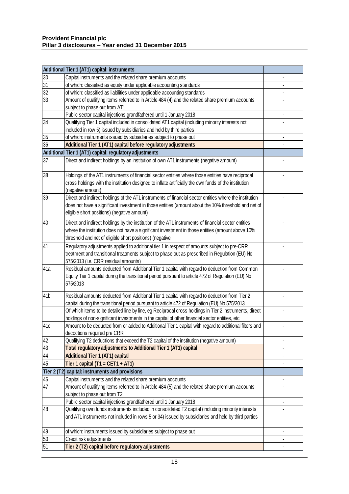|                 | Additional Tier 1 (AT1) capital: instruments                                                                                                       |  |
|-----------------|----------------------------------------------------------------------------------------------------------------------------------------------------|--|
| 30              | Capital instruments and the related share premium accounts                                                                                         |  |
| 31              | of which: classified as equity under applicable accounting standards                                                                               |  |
| 32              | of which: classified as liabilities under applicable accounting standards                                                                          |  |
| 33              | Amount of qualifying items referred to in Article 484 (4) and the related share premium accounts                                                   |  |
|                 | subject to phase out from AT1                                                                                                                      |  |
|                 | Public sector capital injections grandfathered until 1 January 2018                                                                                |  |
| 34              | Qualifying Tier 1 capital included in consolidated AT1 capital (including minority interests not                                                   |  |
|                 | included in row 5) issued by subsidiaries and held by third parties                                                                                |  |
| 35              | of which: instruments issued by subsidiaries subject to phase out                                                                                  |  |
| 36              | Additional Tier 1 (AT1) capital before regulatory adjustments                                                                                      |  |
|                 | Additional Tier 1 (AT1) capital: regulatory adjustments                                                                                            |  |
| 37              | Direct and indirect holdings by an institution of own AT1 instruments (negative amount)                                                            |  |
| 38              | Holdings of the AT1 instruments of financial sector entities where those entities have reciprocal                                                  |  |
|                 | cross holdings with the institution designed to inflate artificially the own funds of the institution                                              |  |
|                 | (negative amount)                                                                                                                                  |  |
| 39              | Direct and indirect holdings of the AT1 instruments of financial sector entities where the institution                                             |  |
|                 | does not have a significant investment in those entities (amount about the 10% threshold and net of<br>eligible short positions) (negative amount) |  |
| 40              | Direct and indirect holdings by the institution of the AT1 instruments of financial sector entities                                                |  |
|                 | where the institution does not have a significant investment in those entities (amount above 10%                                                   |  |
|                 | threshold and net of eligible short positions) (negative                                                                                           |  |
| 41              | Regulatory adjustments applied to additional tier 1 in respect of amounts subject to pre-CRR                                                       |  |
|                 | treatment and transitional treatments subject to phase out as prescribed in Regulation (EU) No                                                     |  |
|                 | 575/2013 (i.e. CRR residual amounts)                                                                                                               |  |
| 41a             | Residual amounts deducted from Additional Tier 1 capital with regard to deduction from Common                                                      |  |
|                 | Equity Tier 1 capital during the transitional period pursuant to article 472 of Regulation (EU) No                                                 |  |
|                 | 575/2013                                                                                                                                           |  |
| 41 <sub>b</sub> | Residual amounts deducted from Additional Tier 1 capital with regard to deduction from Tier 2                                                      |  |
|                 | capital during the transitional period pursuant to article 472 of Regulation (EU) No 575/2013                                                      |  |
|                 | Of which items to be detailed line by line, eg Reciprocal cross holdings in Tier 2 instruments, direct                                             |  |
|                 | holdings of non-significant investments in the capital of other financial sector entities, etc                                                     |  |
| 41c             | Amount to be deducted from or added to Additional Tier 1 capital with regard to additional filters and                                             |  |
|                 | decoctions required pre CRR                                                                                                                        |  |
| 42              | Qualifying T2 deductions that exceed the T2 capital of the institution (negative amount)                                                           |  |
| 43              | Total regulatory adjustments to Additional Tier 1 (AT1) capital                                                                                    |  |
| 44              | <b>Additional Tier 1 (AT1) capital</b>                                                                                                             |  |
| 45              | Tier 1 capital (T1 = CET1 + AT1)                                                                                                                   |  |
|                 | Tier 2 (T2) capital: instruments and provisions                                                                                                    |  |
| 46              | Capital instruments and the related share premium accounts                                                                                         |  |
| 47              | Amount of qualifying items referred to in Article 484 (5) and the related share premium accounts                                                   |  |
|                 | subject to phase out from T2                                                                                                                       |  |
|                 | Public sector capital injections grandfathered until 1 January 2018                                                                                |  |
| 48              | Qualifying own funds instruments included in consolidated T2 capital (including minority interests                                                 |  |
|                 | and AT1 instruments not included in rows 5 or 34) issued by subsidiaries and held by third parties                                                 |  |
| 49              | of which: instruments issued by subsidiaries subject to phase out                                                                                  |  |
| 50              | Credit risk adjustments                                                                                                                            |  |
| 51              | Tier 2 (T2) capital before regulatory adjustments                                                                                                  |  |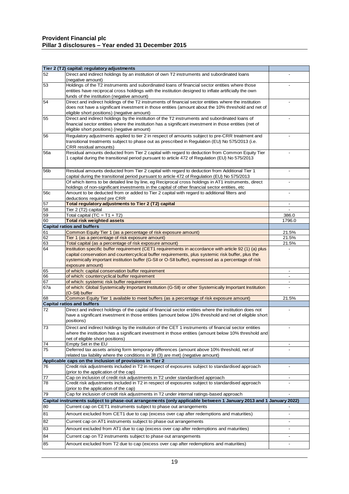#### **Provident Financial plc Pillar 3 disclosures – Year ended 31 December 2015**

|                 | Tier 2 (T2) capital: regulatory adjustments                                                                                                                                                                |                              |
|-----------------|------------------------------------------------------------------------------------------------------------------------------------------------------------------------------------------------------------|------------------------------|
| 52              | Direct and indirect holdings by an institution of own T2 instruments and subordinated loans                                                                                                                |                              |
|                 | (negative amount)                                                                                                                                                                                          |                              |
| 53              | Holdings of the T2 instruments and subordinated loans of financial sector entities where those                                                                                                             |                              |
|                 | entities have reciprocal cross holdings with the institution designed to inflate artificially the own                                                                                                      |                              |
| 54              | funds of the institution (negative amount)<br>Direct and indirect holdings of the T2 instruments of financial sector entities where the institution                                                        |                              |
|                 | does not have a significant investment in those entities (amount about the 10% threshold and net of                                                                                                        |                              |
|                 | eligible short positions) (negative amount)                                                                                                                                                                |                              |
| 55              | Direct and indirect holdings by the institution of the T2 instruments and subordinated loans of                                                                                                            |                              |
|                 | financial sector entities where the institution has a significant investment in those entities (net of                                                                                                     |                              |
|                 | eligible short positions) (negative amount)                                                                                                                                                                |                              |
| 56              | Regulatory adjustments applied to tier 2 in respect of amounts subject to pre-CRR treatment and                                                                                                            |                              |
|                 | transitional treatments subject to phase out as prescribed in Regulation (EU) No 575/2013 (i.e.                                                                                                            |                              |
|                 | CRR residual amounts)                                                                                                                                                                                      |                              |
| <b>56a</b>      | Residual amounts deducted from Tier 2 capital with regard to deduction from Common Equity Tier                                                                                                             |                              |
|                 | 1 capital during the transitional period pursuant to article 472 of Regulation (EU) No 575/2013                                                                                                            |                              |
|                 |                                                                                                                                                                                                            |                              |
| 56 <sub>b</sub> | Residual amounts deducted from Tier 2 capital with regard to deduction from Additional Tier 1                                                                                                              |                              |
|                 | capital during the transitional period pursuant to article 472 of Regulation (EU) No 575/2013                                                                                                              |                              |
|                 | Of which items to be detailed line by line, eg Reciprocal cross holdings in AT1 instruments, direct<br>holdings of non-significant investments in the capital of other financial sector entities, etc      |                              |
| <b>56c</b>      | Amount to be deducted from or added to Tier 2 capital with regard to additional filters and                                                                                                                |                              |
|                 | deductions required pre CRR                                                                                                                                                                                |                              |
| 57              | Total regulatory adjustments to Tier 2 (T2) capital                                                                                                                                                        | $\overline{\phantom{a}}$     |
| 58              | Tier 2 (T2) capital                                                                                                                                                                                        |                              |
| 59              | Total capital (TC = $T1 + T2$ )                                                                                                                                                                            | 386.0                        |
| 60              | <b>Total risk weighted assets</b>                                                                                                                                                                          | 1796.0                       |
|                 | <b>Capital ratios and buffers</b>                                                                                                                                                                          |                              |
| 61              | Common Equity Tier 1 (as a percentage of risk exposure amount)                                                                                                                                             | 21.5%                        |
| 62              | Tier 1 (as a percentage of risk exposure amount)                                                                                                                                                           | 21.5%                        |
| 63<br>64        | Total capital (as a percentage of risk exposure amount)                                                                                                                                                    | 21.5%                        |
|                 | Institution specific buffer requirement (CET1 requirements in accordance with article 92 (1) (a) plus<br>capital conservation and countercyclical buffer requirements, plus systemic risk buffer, plus the |                              |
|                 | systemically important institution buffer (G-SII or O-SII buffer), expressed as a percentage of risk                                                                                                       |                              |
|                 | exposure amount)                                                                                                                                                                                           |                              |
| 65              | of which: capital conservation buffer requirement                                                                                                                                                          | $\blacksquare$               |
| 66              | of which: countercyclical buffer requirement                                                                                                                                                               |                              |
| 67              | of which: systemic risk buffer requirement                                                                                                                                                                 | $\overline{\phantom{a}}$     |
| 67a             | of which: Global Systemically Important Institution (G-SII) or other Systemically Important Institution                                                                                                    |                              |
|                 | (O-SII) buffer                                                                                                                                                                                             |                              |
| 68              | Common Equity Tier 1 available to meet buffers (as a percentage of risk exposure amount)<br><b>Capital ratios and buffers</b>                                                                              | 21.5%                        |
| $\overline{72}$ | Direct and indirect holdings of the capital of financial sector entities where the institution does not                                                                                                    | $\centerdot$                 |
|                 | have a significant investment in those entities (amount below 10% threshold and net of eligible short                                                                                                      |                              |
|                 | positions)                                                                                                                                                                                                 |                              |
| 73              | Direct and indirect holdings by the institution of the CET 1 instruments of financial sector entities                                                                                                      |                              |
|                 | where the institution has a significant investment in those entities (amount below 10% threshold and                                                                                                       |                              |
|                 | net of eligible short positions)                                                                                                                                                                           |                              |
| $\overline{74}$ | Empty Set in the EU                                                                                                                                                                                        | $\overline{\phantom{a}}$     |
| 75              | Deferred tax assets arising form temporary differences (amount above 10% threshold, net of                                                                                                                 |                              |
|                 | related tax liability where the conditions in 38 (3) are met) (negative amount)                                                                                                                            |                              |
|                 | Applicable caps on the inclusion of provisions in Tier 2                                                                                                                                                   |                              |
| 76              | Credit risk adjustments included in T2 in respect of exposures subject to standardised approach                                                                                                            |                              |
| 77              | (prior to the application of the cap)<br>Cap on inclusion of credit risk adjustments in T2 under standardised approach                                                                                     |                              |
| 78              | Credit risk adjustments included in T2 in respect of exposures subject to standardised approach                                                                                                            |                              |
|                 | (prior to the application of the cap)                                                                                                                                                                      |                              |
| 79              | Cap for inclusion of credit risk adjustments in T2 under internal ratings-based approach                                                                                                                   | $\frac{1}{2}$                |
|                 | Capital instruments subject to phase-out arrangements (only applicable between 1 January 2013 and 1 January 2022)                                                                                          |                              |
| 80              | Current cap on CET1 instruments subject to phase out arrangements                                                                                                                                          |                              |
| 81              | Amount excluded from CET1 due to cap (excess over cap after redemptions and maturities)                                                                                                                    | $\qquad \qquad \blacksquare$ |
|                 |                                                                                                                                                                                                            |                              |
| 82              | Current cap on AT1 instruments subject to phase out arrangements                                                                                                                                           |                              |
| 83              | Amount excluded from AT1 due to cap (excess over cap after redemptions and maturities)                                                                                                                     | $\overline{\phantom{a}}$     |
| 84              | Current cap on T2 instruments subject to phase out arrangements                                                                                                                                            | $\overline{\phantom{a}}$     |
| 85              | Amount excluded from T2 due to cap (excess over cap after redemptions and maturities)                                                                                                                      |                              |
|                 |                                                                                                                                                                                                            |                              |